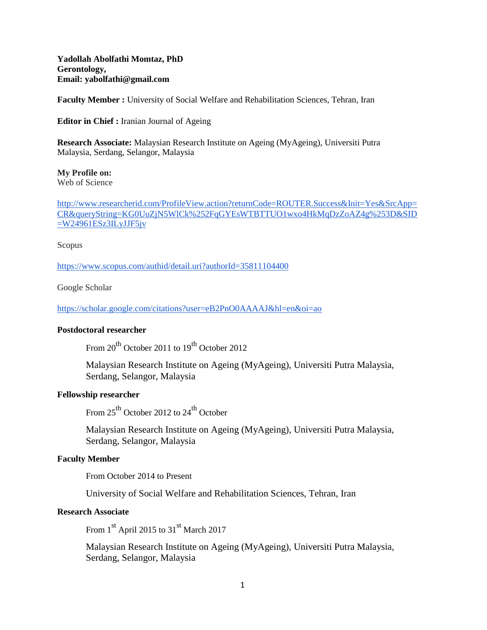**Yadollah Abolfathi Momtaz, PhD Gerontology, Email: yabolfathi@gmail.com**

**Faculty Member :** University of Social Welfare and Rehabilitation Sciences, Tehran, Iran

**Editor in Chief :** Iranian Journal of Ageing

**Research Associate:** Malaysian Research Institute on Ageing (MyAgeing), Universiti Putra Malaysia, Serdang, Selangor, Malaysia

**My Profile on:** Web of Science

[http://www.researcherid.com/ProfileView.action?returnCode=ROUTER.Success&Init=Yes&SrcApp=](http://www.researcherid.com/ProfileView.action?returnCode=ROUTER.Success&Init=Yes&SrcApp=CR&queryString=KG0UuZjN5WlCk%252FqGYEsWTBTTUO1wxo4HkMqDzZoAZ4g%253D&SID=W24961ESz3ILyJJF5jv) [CR&queryString=KG0UuZjN5WlCk%252FqGYEsWTBTTUO1wxo4HkMqDzZoAZ4g%253D&SID](http://www.researcherid.com/ProfileView.action?returnCode=ROUTER.Success&Init=Yes&SrcApp=CR&queryString=KG0UuZjN5WlCk%252FqGYEsWTBTTUO1wxo4HkMqDzZoAZ4g%253D&SID=W24961ESz3ILyJJF5jv)  $=W24961ESz3ILyJJF5jv$ 

Scopus

<https://www.scopus.com/authid/detail.uri?authorId=35811104400>

Google Scholar

<https://scholar.google.com/citations?user=eB2PnO0AAAAJ&hl=en&oi=ao>

#### **Postdoctoral researcher**

From  $20^{th}$  October 2011 to  $19^{th}$  October 2012.

Malaysian Research Institute on Ageing (MyAgeing), Universiti Putra Malaysia, Serdang, Selangor, Malaysia

#### **Fellowship researcher**

From  $25^{th}$  October 2012 to  $24^{th}$  October

Malaysian Research Institute on Ageing (MyAgeing), Universiti Putra Malaysia, Serdang, Selangor, Malaysia

#### **Faculty Member**

From October 2014 to Present

University of Social Welfare and Rehabilitation Sciences, Tehran, Iran

### **Research Associate**

From  $1<sup>st</sup>$  April 2015 to 31<sup>st</sup> March 2017

Malaysian Research Institute on Ageing (MyAgeing), Universiti Putra Malaysia, Serdang, Selangor, Malaysia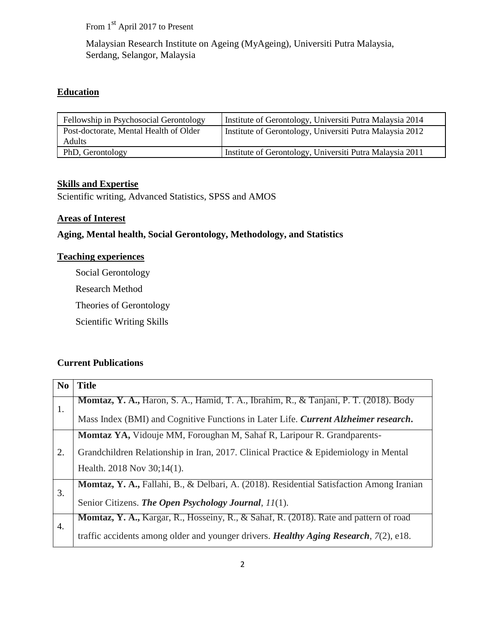From 1<sup>st</sup> April 2017 to Present

Malaysian Research Institute on Ageing (MyAgeing), Universiti Putra Malaysia, Serdang, Selangor, Malaysia

# **Education**

| Fellowship in Psychosocial Gerontology | Institute of Gerontology, Universiti Putra Malaysia 2014 |
|----------------------------------------|----------------------------------------------------------|
| Post-doctorate, Mental Health of Older | Institute of Gerontology, Universiti Putra Malaysia 2012 |
| <b>Adults</b>                          |                                                          |
| PhD, Gerontology                       | Institute of Gerontology, Universiti Putra Malaysia 2011 |

## **Skills and Expertise**

Scientific writing, Advanced Statistics, SPSS and AMOS

### **Areas of Interest**

## **Aging, Mental health, Social Gerontology, Methodology, and Statistics**

### **Teaching experiences**

Social Gerontology

Research Method

Theories of Gerontology

Scientific Writing Skills

## **Current Publications**

| N <sub>0</sub> | <b>Title</b>                                                                                        |
|----------------|-----------------------------------------------------------------------------------------------------|
| 1.             | <b>Momtaz, Y. A., Haron, S. A., Hamid, T. A., Ibrahim, R., &amp; Tanjani, P. T. (2018). Body</b>    |
|                | Mass Index (BMI) and Cognitive Functions in Later Life. Current Alzheimer research.                 |
| 2.             | <b>Momtaz YA, Vidouje MM, Foroughan M, Sahaf R, Laripour R. Grandparents-</b>                       |
|                | Grandchildren Relationship in Iran, 2017. Clinical Practice & Epidemiology in Mental                |
|                | Health. 2018 Nov $30;14(1)$ .                                                                       |
| 3.             | <b>Momtaz, Y. A., Fallahi, B., &amp; Delbari, A. (2018). Residential Satisfaction Among Iranian</b> |
|                | Senior Citizens. The Open Psychology Journal, 11(1).                                                |
| 4.             | <b>Momtaz, Y. A., Kargar, R., Hosseiny, R., &amp; Sahaf, R. (2018). Rate and pattern of road</b>    |
|                | traffic accidents among older and younger drivers. Healthy Aging Research, $7(2)$ , e18.            |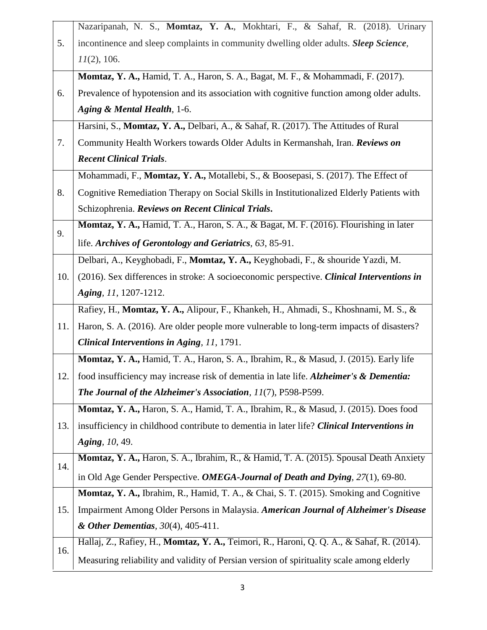|     | Nazaripanah, N. S., Momtaz, Y. A., Mokhtari, F., & Sahaf, R. (2018). Urinary               |
|-----|--------------------------------------------------------------------------------------------|
| 5.  | incontinence and sleep complaints in community dwelling older adults. Sleep Science,       |
|     | $11(2)$ , 106.                                                                             |
|     | Momtaz, Y. A., Hamid, T. A., Haron, S. A., Bagat, M. F., & Mohammadi, F. (2017).           |
| 6.  | Prevalence of hypotension and its association with cognitive function among older adults.  |
|     | Aging & Mental Health, 1-6.                                                                |
|     | Harsini, S., Momtaz, Y. A., Delbari, A., & Sahaf, R. (2017). The Attitudes of Rural        |
| 7.  | Community Health Workers towards Older Adults in Kermanshah, Iran. Reviews on              |
|     | <b>Recent Clinical Trials.</b>                                                             |
|     | Mohammadi, F., Momtaz, Y. A., Motallebi, S., & Boosepasi, S. (2017). The Effect of         |
| 8.  | Cognitive Remediation Therapy on Social Skills in Institutionalized Elderly Patients with  |
|     | Schizophrenia. Reviews on Recent Clinical Trials.                                          |
| 9.  | Momtaz, Y. A., Hamid, T. A., Haron, S. A., & Bagat, M. F. (2016). Flourishing in later     |
|     | life. Archives of Gerontology and Geriatrics, 63, 85-91.                                   |
|     | Delbari, A., Keyghobadi, F., Momtaz, Y. A., Keyghobadi, F., & shouride Yazdi, M.           |
| 10. | (2016). Sex differences in stroke: A socioeconomic perspective. Clinical Interventions in  |
|     | Aging, 11, 1207-1212.                                                                      |
|     | Rafiey, H., Momtaz, Y. A., Alipour, F., Khankeh, H., Ahmadi, S., Khoshnami, M. S., &       |
| 11. | Haron, S. A. (2016). Are older people more vulnerable to long-term impacts of disasters?   |
|     | Clinical Interventions in Aging, 11, 1791.                                                 |
|     | Momtaz, Y. A., Hamid, T. A., Haron, S. A., Ibrahim, R., & Masud, J. (2015). Early life     |
| 12. | food insufficiency may increase risk of dementia in late life. Alzheimer's & Dementia:     |
|     | <b>The Journal of the Alzheimer's Association, 11(7), P598-P599.</b>                       |
|     | Momtaz, Y. A., Haron, S. A., Hamid, T. A., Ibrahim, R., & Masud, J. (2015). Does food      |
| 13. | insufficiency in childhood contribute to dementia in later life? Clinical Interventions in |
|     | Aging, 10, 49.                                                                             |
| 14. | Momtaz, Y. A., Haron, S. A., Ibrahim, R., & Hamid, T. A. (2015). Spousal Death Anxiety     |
|     | in Old Age Gender Perspective. OMEGA-Journal of Death and Dying, 27(1), 69-80.             |
|     | Momtaz, Y. A., Ibrahim, R., Hamid, T. A., & Chai, S. T. (2015). Smoking and Cognitive      |
| 15. | Impairment Among Older Persons in Malaysia. American Journal of Alzheimer's Disease        |
|     | & Other Dementias, $30(4)$ , $405-411$ .                                                   |
| 16. | Hallaj, Z., Rafiey, H., Momtaz, Y. A., Teimori, R., Haroni, Q. Q. A., & Sahaf, R. (2014).  |
|     | Measuring reliability and validity of Persian version of spirituality scale among elderly  |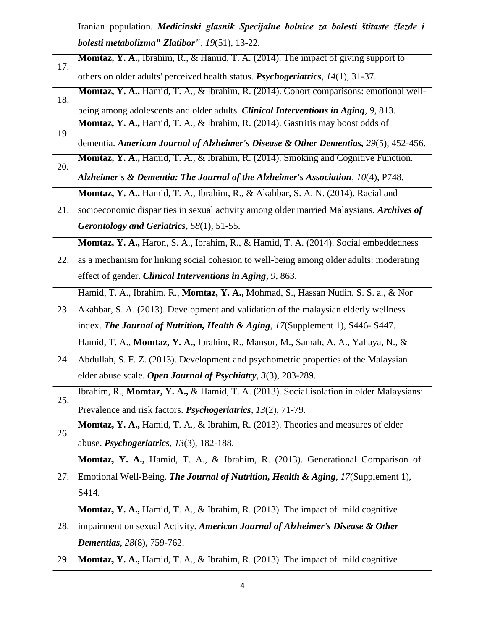|     | Iranian population. Medicinski glasnik Specijalne bolnice za bolesti štitaste žlezde i        |  |  |  |
|-----|-----------------------------------------------------------------------------------------------|--|--|--|
|     | bolesti metabolizma" Zlatibor", 19(51), 13-22.                                                |  |  |  |
| 17. | <b>Momtaz, Y. A., Ibrahim, R., &amp; Hamid, T. A. (2014). The impact of giving support to</b> |  |  |  |
|     | others on older adults' perceived health status. <i>Psychogeriatrics</i> , 14(1), 31-37.      |  |  |  |
| 18. | Momtaz, Y. A., Hamid, T. A., & Ibrahim, R. (2014). Cohort comparisons: emotional well-        |  |  |  |
|     | being among adolescents and older adults. Clinical Interventions in Aging, 9, 813.            |  |  |  |
| 19. | <b>Momtaz, Y. A., Hamid, T. A., &amp; Ibrahim, R. (2014). Gastritis may boost odds of</b>     |  |  |  |
|     | dementia. American Journal of Alzheimer's Disease & Other Dementias, 29(5), 452-456.          |  |  |  |
| 20. | Momtaz, Y. A., Hamid, T. A., & Ibrahim, R. (2014). Smoking and Cognitive Function.            |  |  |  |
|     | Alzheimer's & Dementia: The Journal of the Alzheimer's Association, 10(4), P748.              |  |  |  |
|     | Momtaz, Y. A., Hamid, T. A., Ibrahim, R., & Akahbar, S. A. N. (2014). Racial and              |  |  |  |
| 21. | socioeconomic disparities in sexual activity among older married Malaysians. Archives of      |  |  |  |
|     | Gerontology and Geriatrics, 58(1), 51-55.                                                     |  |  |  |
|     | Momtaz, Y. A., Haron, S. A., Ibrahim, R., & Hamid, T. A. (2014). Social embeddedness          |  |  |  |
| 22. | as a mechanism for linking social cohesion to well-being among older adults: moderating       |  |  |  |
|     | effect of gender. Clinical Interventions in Aging, 9, 863.                                    |  |  |  |
|     | Hamid, T. A., Ibrahim, R., Momtaz, Y. A., Mohmad, S., Hassan Nudin, S. S. a., & Nor           |  |  |  |
| 23. | Akahbar, S. A. (2013). Development and validation of the malaysian elderly wellness           |  |  |  |
|     | index. The Journal of Nutrition, Health & Aging, 17(Supplement 1), S446-S447.                 |  |  |  |
|     | Hamid, T. A., Momtaz, Y. A., Ibrahim, R., Mansor, M., Samah, A. A., Yahaya, N., &             |  |  |  |
| 24. | Abdullah, S. F. Z. (2013). Development and psychometric properties of the Malaysian           |  |  |  |
|     | elder abuse scale. Open Journal of Psychiatry, 3(3), 283-289.                                 |  |  |  |
| 25. | Ibrahim, R., Momtaz, Y. A., & Hamid, T. A. (2013). Social isolation in older Malaysians:      |  |  |  |
|     | Prevalence and risk factors. <i>Psychogeriatrics</i> , 13(2), 71-79.                          |  |  |  |
| 26. | Momtaz, Y. A., Hamid, T. A., & Ibrahim, R. (2013). Theories and measures of elder             |  |  |  |
|     | abuse. <i>Psychogeriatrics</i> , $13(3)$ , 182-188.                                           |  |  |  |
|     | Momtaz, Y. A., Hamid, T. A., & Ibrahim, R. (2013). Generational Comparison of                 |  |  |  |
| 27. | Emotional Well-Being. The Journal of Nutrition, Health & Aging, 17(Supplement 1),             |  |  |  |
|     | S414.                                                                                         |  |  |  |
|     | <b>Momtaz, Y. A., Hamid, T. A., &amp; Ibrahim, R. (2013). The impact of mild cognitive</b>    |  |  |  |
| 28. | impairment on sexual Activity. American Journal of Alzheimer's Disease & Other                |  |  |  |
|     | <b>Dementias</b> , 28(8), 759-762.                                                            |  |  |  |
| 29. | Momtaz, Y. A., Hamid, T. A., & Ibrahim, R. (2013). The impact of mild cognitive               |  |  |  |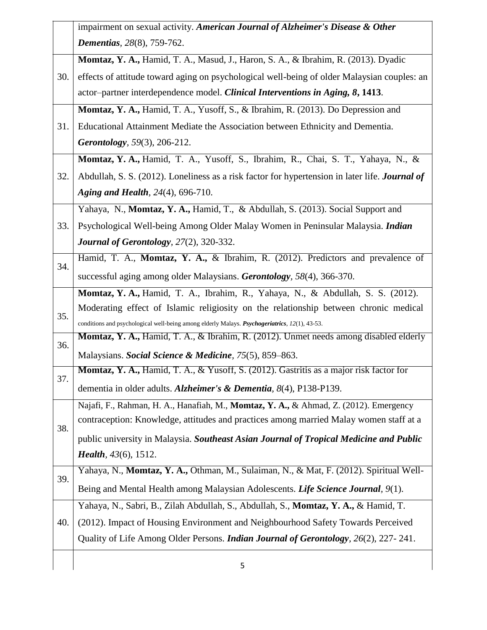|     | impairment on sexual activity. American Journal of Alzheimer's Disease & Other                    |
|-----|---------------------------------------------------------------------------------------------------|
|     | <b>Dementias</b> , 28(8), 759-762.                                                                |
|     | Momtaz, Y. A., Hamid, T. A., Masud, J., Haron, S. A., & Ibrahim, R. (2013). Dyadic                |
| 30. | effects of attitude toward aging on psychological well-being of older Malaysian couples: an       |
|     | actor-partner interdependence model. Clinical Interventions in Aging, 8, 1413.                    |
|     | Momtaz, Y. A., Hamid, T. A., Yusoff, S., & Ibrahim, R. (2013). Do Depression and                  |
| 31. | Educational Attainment Mediate the Association between Ethnicity and Dementia.                    |
|     | <b>Gerontology</b> , 59(3), 206-212.                                                              |
|     | Momtaz, Y. A., Hamid, T. A., Yusoff, S., Ibrahim, R., Chai, S. T., Yahaya, N., &                  |
| 32. | Abdullah, S. S. (2012). Loneliness as a risk factor for hypertension in later life. Journal of    |
|     | Aging and Health, 24(4), 696-710.                                                                 |
|     | Yahaya, N., Momtaz, Y. A., Hamid, T., & Abdullah, S. (2013). Social Support and                   |
| 33. | Psychological Well-being Among Older Malay Women in Peninsular Malaysia. Indian                   |
|     | <b>Journal of Gerontology</b> , 27(2), 320-332.                                                   |
|     | Hamid, T. A., Momtaz, Y. A., & Ibrahim, R. (2012). Predictors and prevalence of                   |
| 34. | successful aging among older Malaysians. Gerontology, 58(4), 366-370.                             |
|     | Momtaz, Y. A., Hamid, T. A., Ibrahim, R., Yahaya, N., & Abdullah, S. S. (2012).                   |
| 35. | Moderating effect of Islamic religiosity on the relationship between chronic medical              |
|     | conditions and psychological well-being among elderly Malays. Psychogeriatrics, 12(1), 43-53.     |
| 36. | Momtaz, Y. A., Hamid, T. A., & Ibrahim, R. (2012). Unmet needs among disabled elderly             |
|     | Malaysians. Social Science & Medicine, 75(5), 859–863.                                            |
| 37. | <b>Momtaz, Y. A., Hamid, T. A., &amp; Yusoff, S. (2012). Gastritis as a major risk factor for</b> |
|     | dementia in older adults. Alzheimer's & Dementia, 8(4), P138-P139.                                |
|     | Najafi, F., Rahman, H. A., Hanafiah, M., Momtaz, Y. A., & Ahmad, Z. (2012). Emergency             |
| 38. | contraception: Knowledge, attitudes and practices among married Malay women staff at a            |
|     | public university in Malaysia. Southeast Asian Journal of Tropical Medicine and Public            |
|     | <i>Health</i> , $43(6)$ , $1512$ .                                                                |
| 39. | Yahaya, N., Momtaz, Y. A., Othman, M., Sulaiman, N., & Mat, F. (2012). Spiritual Well-            |
|     | Being and Mental Health among Malaysian Adolescents. Life Science Journal, 9(1).                  |
|     | Yahaya, N., Sabri, B., Zilah Abdullah, S., Abdullah, S., Momtaz, Y. A., & Hamid, T.               |
| 40. | (2012). Impact of Housing Environment and Neighbourhood Safety Towards Perceived                  |
|     | Quality of Life Among Older Persons. <i>Indian Journal of Gerontology</i> , 26(2), 227-241.       |
|     |                                                                                                   |
|     | 5                                                                                                 |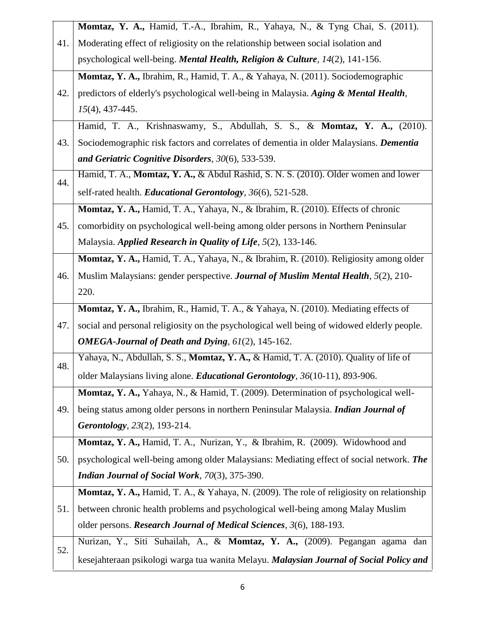|     | Momtaz, Y. A., Hamid, T.-A., Ibrahim, R., Yahaya, N., & Tyng Chai, S. (2011).              |  |  |  |
|-----|--------------------------------------------------------------------------------------------|--|--|--|
| 41. | Moderating effect of religiosity on the relationship between social isolation and          |  |  |  |
|     | psychological well-being. Mental Health, Religion & Culture, 14(2), 141-156.               |  |  |  |
|     | Momtaz, Y. A., Ibrahim, R., Hamid, T. A., & Yahaya, N. (2011). Sociodemographic            |  |  |  |
| 42. | predictors of elderly's psychological well-being in Malaysia. Aging & Mental Health,       |  |  |  |
|     | $15(4)$ , 437-445.                                                                         |  |  |  |
|     | Hamid, T. A., Krishnaswamy, S., Abdullah, S. S., & Momtaz, Y. A., (2010).                  |  |  |  |
| 43. | Sociodemographic risk factors and correlates of dementia in older Malaysians. Dementia     |  |  |  |
|     | and Geriatric Cognitive Disorders, 30(6), 533-539.                                         |  |  |  |
| 44. | Hamid, T. A., Momtaz, Y. A., & Abdul Rashid, S. N. S. (2010). Older women and lower        |  |  |  |
|     | self-rated health. <i>Educational Gerontology</i> , 36(6), 521-528.                        |  |  |  |
|     | Momtaz, Y. A., Hamid, T. A., Yahaya, N., & Ibrahim, R. (2010). Effects of chronic          |  |  |  |
| 45. | comorbidity on psychological well-being among older persons in Northern Peninsular         |  |  |  |
|     | Malaysia. Applied Research in Quality of Life, 5(2), 133-146.                              |  |  |  |
|     | Momtaz, Y. A., Hamid, T. A., Yahaya, N., & Ibrahim, R. (2010). Religiosity among older     |  |  |  |
| 46. | Muslim Malaysians: gender perspective. Journal of Muslim Mental Health, 5(2), 210-         |  |  |  |
|     | 220.                                                                                       |  |  |  |
|     | Momtaz, Y. A., Ibrahim, R., Hamid, T. A., & Yahaya, N. (2010). Mediating effects of        |  |  |  |
| 47. | social and personal religiosity on the psychological well being of widowed elderly people. |  |  |  |
|     | <b>OMEGA-Journal of Death and Dying, 61(2), 145-162.</b>                                   |  |  |  |
| 48. | Yahaya, N., Abdullah, S. S., Momtaz, Y. A., & Hamid, T. A. (2010). Quality of life of      |  |  |  |
|     | older Malaysians living alone. <i>Educational Gerontology</i> , 36(10-11), 893-906.        |  |  |  |
|     | Momtaz, Y. A., Yahaya, N., & Hamid, T. (2009). Determination of psychological well-        |  |  |  |
| 49. | being status among older persons in northern Peninsular Malaysia. Indian Journal of        |  |  |  |
|     | Gerontology, 23(2), 193-214.                                                               |  |  |  |
|     | Momtaz, Y. A., Hamid, T. A., Nurizan, Y., & Ibrahim, R. (2009). Widowhood and              |  |  |  |
| 50. | psychological well-being among older Malaysians: Mediating effect of social network. The   |  |  |  |
|     | Indian Journal of Social Work, 70(3), 375-390.                                             |  |  |  |
|     | Momtaz, Y. A., Hamid, T. A., & Yahaya, N. (2009). The role of religiosity on relationship  |  |  |  |
| 51. | between chronic health problems and psychological well-being among Malay Muslim            |  |  |  |
|     | older persons. Research Journal of Medical Sciences, 3(6), 188-193.                        |  |  |  |
|     | Nurizan, Y., Siti Suhailah, A., & Momtaz, Y. A., (2009). Pegangan agama dan                |  |  |  |
| 52. | kesejahteraan psikologi warga tua wanita Melayu. Malaysian Journal of Social Policy and    |  |  |  |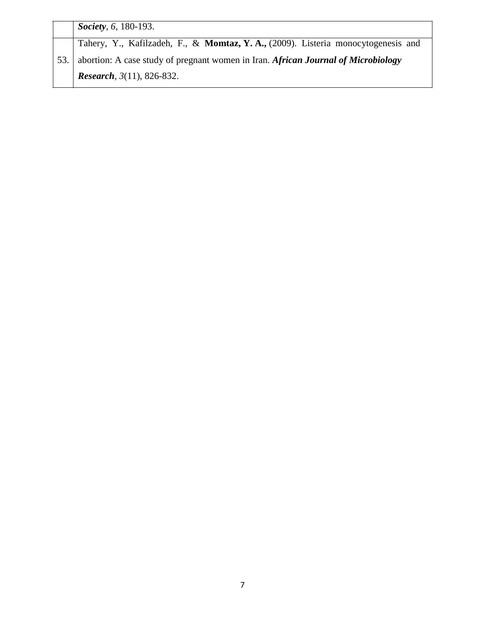|  | Society, 6, 180-193.                                                              |
|--|-----------------------------------------------------------------------------------|
|  | Tahery, Y., Kafilzadeh, F., & Momtaz, Y.A., (2009). Listeria monocytogenesis and  |
|  | abortion: A case study of pregnant women in Iran. African Journal of Microbiology |
|  | <i>Research</i> , $3(11)$ , 826-832.                                              |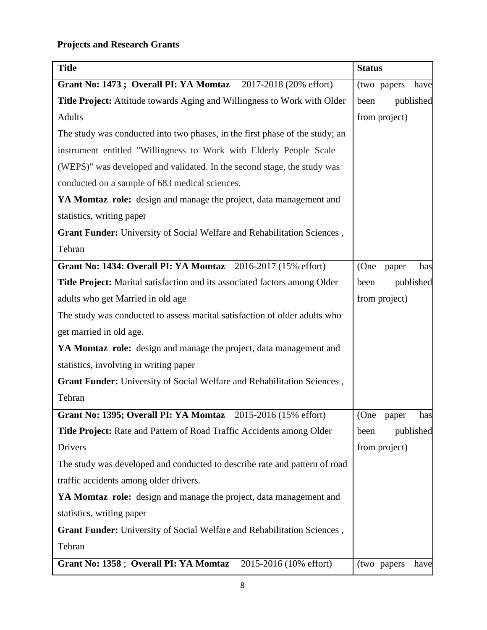| <b>Title</b>                                                                 | <b>Status</b>        |
|------------------------------------------------------------------------------|----------------------|
| Grant No: 1473; Overall PI: YA Momtaz<br>2017-2018 (20% effort)              | (two papers<br>have  |
| Title Project: Attitude towards Aging and Willingness to Work with Older     | published<br>been    |
| <b>Adults</b>                                                                | from project)        |
| The study was conducted into two phases, in the first phase of the study; an |                      |
| instrument entitled "Willingness to Work with Elderly People Scale           |                      |
| (WEPS)" was developed and validated. In the second stage, the study was      |                      |
| conducted on a sample of 683 medical sciences.                               |                      |
| YA Momtaz role: design and manage the project, data management and           |                      |
| statistics, writing paper                                                    |                      |
| Grant Funder: University of Social Welfare and Rehabilitation Sciences,      |                      |
| Tehran                                                                       |                      |
| Grant No: 1434: Overall PI: YA Momtaz 2016-2017 (15% effort)                 | (One<br>has<br>paper |
| Title Project: Marital satisfaction and its associated factors among Older   | published<br>been    |
| adults who get Married in old age                                            | from project)        |
| The study was conducted to assess marital satisfaction of older adults who   |                      |
| get married in old age.                                                      |                      |
| YA Momtaz role: design and manage the project, data management and           |                      |
| statistics, involving in writing paper                                       |                      |
| Grant Funder: University of Social Welfare and Rehabilitation Sciences,      |                      |
| Tehran                                                                       |                      |
| Grant No: 1395; Overall PI: YA Momtaz 2015-2016 (15% effort)                 | (One paper<br>has    |
| Title Project: Rate and Pattern of Road Traffic Accidents among Older        | published<br>been    |
| Drivers                                                                      | from project)        |
| The study was developed and conducted to describe rate and pattern of road   |                      |
| traffic accidents among older drivers.                                       |                      |
| YA Momtaz role: design and manage the project, data management and           |                      |
| statistics, writing paper                                                    |                      |
| Grant Funder: University of Social Welfare and Rehabilitation Sciences,      |                      |
| Tehran                                                                       |                      |
| 2015-2016 (10% effort)<br>Grant No: 1358 ; Overall PI: YA Momtaz             | (two papers<br>have  |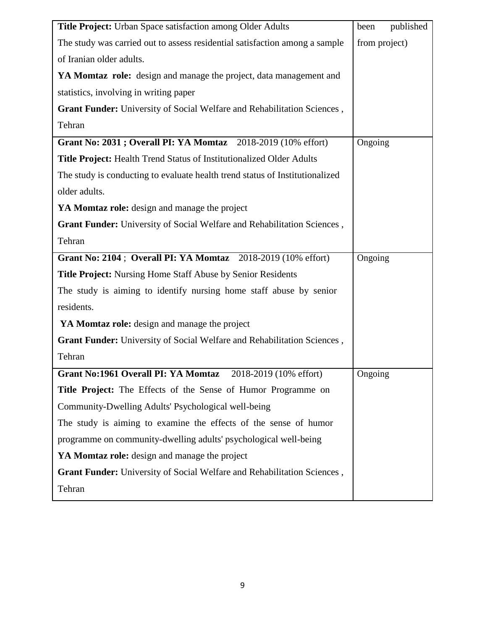| Title Project: Urban Space satisfaction among Older Adults                   | been<br>published |
|------------------------------------------------------------------------------|-------------------|
| The study was carried out to assess residential satisfaction among a sample  | from project)     |
| of Iranian older adults.                                                     |                   |
| YA Momtaz role: design and manage the project, data management and           |                   |
| statistics, involving in writing paper                                       |                   |
| Grant Funder: University of Social Welfare and Rehabilitation Sciences,      |                   |
| Tehran                                                                       |                   |
| Grant No: 2031; Overall PI: YA Momtaz 2018-2019 (10% effort)                 | Ongoing           |
| <b>Title Project:</b> Health Trend Status of Institutionalized Older Adults  |                   |
| The study is conducting to evaluate health trend status of Institutionalized |                   |
| older adults.                                                                |                   |
| YA Momtaz role: design and manage the project                                |                   |
| Grant Funder: University of Social Welfare and Rehabilitation Sciences,      |                   |
| Tehran                                                                       |                   |
| Grant No: 2104; Overall PI: YA Momtaz 2018-2019 (10% effort)                 | Ongoing           |
| <b>Title Project:</b> Nursing Home Staff Abuse by Senior Residents           |                   |
| The study is aiming to identify nursing home staff abuse by senior           |                   |
| residents.                                                                   |                   |
| YA Momtaz role: design and manage the project                                |                   |
| Grant Funder: University of Social Welfare and Rehabilitation Sciences,      |                   |
| Tehran                                                                       |                   |
| Grant No:1961 Overall PI: YA Momtaz 2018-2019 (10% effort)                   | Ongoing           |
| Title Project: The Effects of the Sense of Humor Programme on                |                   |
| Community-Dwelling Adults' Psychological well-being                          |                   |
| The study is aiming to examine the effects of the sense of humor             |                   |
| programme on community-dwelling adults' psychological well-being             |                   |
| YA Momtaz role: design and manage the project                                |                   |
| Grant Funder: University of Social Welfare and Rehabilitation Sciences,      |                   |
| Tehran                                                                       |                   |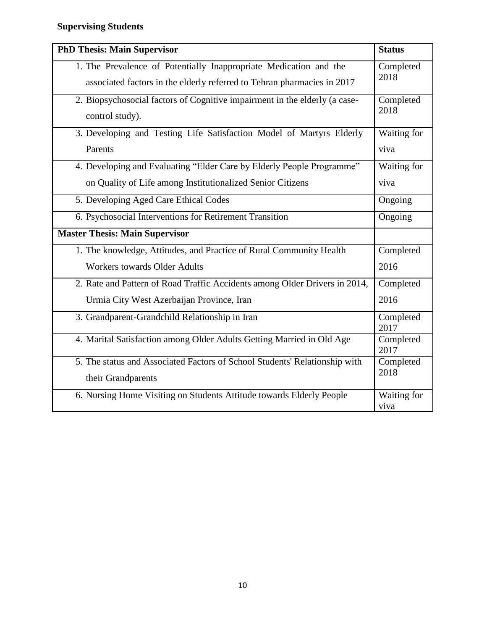| <b>PhD Thesis: Main Supervisor</b>                                         | <b>Status</b>       |
|----------------------------------------------------------------------------|---------------------|
| 1. The Prevalence of Potentially Inappropriate Medication and the          | Completed           |
| associated factors in the elderly referred to Tehran pharmacies in 2017    | 2018                |
| 2. Biopsychosocial factors of Cognitive impairment in the elderly (a case- | Completed           |
| control study).                                                            | 2018                |
| 3. Developing and Testing Life Satisfaction Model of Martyrs Elderly       | Waiting for         |
| Parents                                                                    | viva                |
| 4. Developing and Evaluating "Elder Care by Elderly People Programme"      | Waiting for         |
| on Quality of Life among Institutionalized Senior Citizens                 | viva                |
| 5. Developing Aged Care Ethical Codes                                      | Ongoing             |
| 6. Psychosocial Interventions for Retirement Transition                    | Ongoing             |
| <b>Master Thesis: Main Supervisor</b>                                      |                     |
| 1. The knowledge, Attitudes, and Practice of Rural Community Health        | Completed           |
| <b>Workers towards Older Adults</b>                                        | 2016                |
| 2. Rate and Pattern of Road Traffic Accidents among Older Drivers in 2014, | Completed           |
| Urmia City West Azerbaijan Province, Iran                                  | 2016                |
| 3. Grandparent-Grandchild Relationship in Iran                             | Completed<br>2017   |
| 4. Marital Satisfaction among Older Adults Getting Married in Old Age      | Completed<br>2017   |
| 5. The status and Associated Factors of School Students' Relationship with | Completed           |
| their Grandparents                                                         | 2018                |
| 6. Nursing Home Visiting on Students Attitude towards Elderly People       | Waiting for<br>viva |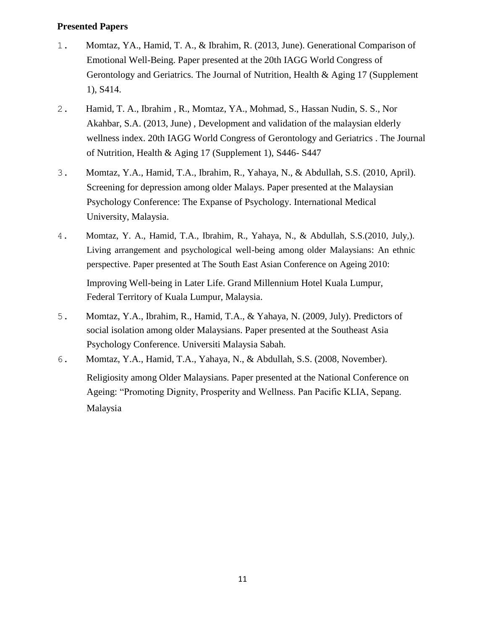### **Presented Papers**

- 1. Momtaz, YA., Hamid, T. A., & Ibrahim, R. (2013, June). Generational Comparison of Emotional Well-Being. Paper presented at the 20th IAGG World Congress of Gerontology and Geriatrics. The Journal of Nutrition, Health & Aging 17 (Supplement 1), S414.
- 2. Hamid, T. A., Ibrahim , R., Momtaz, YA., Mohmad, S., Hassan Nudin, S. S., Nor Akahbar, S.A. (2013, June) , Development and validation of the malaysian elderly wellness index. 20th IAGG World Congress of Gerontology and Geriatrics . The Journal of Nutrition, Health & Aging 17 (Supplement 1), S446- S447
- 3. Momtaz, Y.A., Hamid, T.A., Ibrahim, R., Yahaya, N., & Abdullah, S.S. (2010, April). Screening for depression among older Malays. Paper presented at the Malaysian Psychology Conference: The Expanse of Psychology. International Medical University, Malaysia.
- 4. Momtaz, Y. A., Hamid, T.A., Ibrahim, R., Yahaya, N., & Abdullah, S.S.(2010, July,). Living arrangement and psychological well-being among older Malaysians: An ethnic perspective. Paper presented at The South East Asian Conference on Ageing 2010: Improving Well-being in Later Life. Grand Millennium Hotel Kuala Lumpur,

Federal Territory of Kuala Lumpur, Malaysia.

- 5. Momtaz, Y.A., Ibrahim, R., Hamid, T.A., & Yahaya, N. (2009, July). Predictors of social isolation among older Malaysians. Paper presented at the Southeast Asia Psychology Conference. Universiti Malaysia Sabah.
- 6. Momtaz, Y.A., Hamid, T.A., Yahaya, N., & Abdullah, S.S. (2008, November). Religiosity among Older Malaysians. Paper presented at the National Conference on Ageing: "Promoting Dignity, Prosperity and Wellness. Pan Pacific KLIA, Sepang. Malaysia